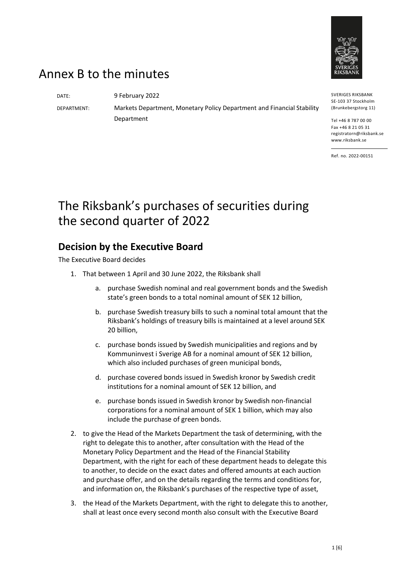

## Annex B to the minutes

DATE: 9 February 2022

DEPARTMENT: Markets Department, Monetary Policy Department and Financial Stability Department

SVERIGES RIKSBANK SE-103 37 Stockholm (Brunkebergstorg 11)

Tel +46 8 787 00 00 Fax +46 8 21 05 31 registratorn@riksbank.se www.riksbank.se

Ref. no. 2022-00151

# The Riksbank's purchases of securities during the second quarter of 2022

### **Decision by the Executive Board**

The Executive Board decides

- 1. That between 1 April and 30 June 2022, the Riksbank shall
	- a. purchase Swedish nominal and real government bonds and the Swedish state's green bonds to a total nominal amount of SEK 12 billion,
	- b. purchase Swedish treasury bills to such a nominal total amount that the Riksbank's holdings of treasury bills is maintained at a level around SEK 20 billion,
	- c. purchase bonds issued by Swedish municipalities and regions and by Kommuninvest i Sverige AB for a nominal amount of SEK 12 billion, which also included purchases of green municipal bonds,
	- d. purchase covered bonds issued in Swedish kronor by Swedish credit institutions for a nominal amount of SEK 12 billion, and
	- e. purchase bonds issued in Swedish kronor by Swedish non-financial corporations for a nominal amount of SEK 1 billion, which may also include the purchase of green bonds.
- 2. to give the Head of the Markets Department the task of determining, with the right to delegate this to another, after consultation with the Head of the Monetary Policy Department and the Head of the Financial Stability Department, with the right for each of these department heads to delegate this to another, to decide on the exact dates and offered amounts at each auction and purchase offer, and on the details regarding the terms and conditions for, and information on, the Riksbank's purchases of the respective type of asset,
- 3. the Head of the Markets Department, with the right to delegate this to another, shall at least once every second month also consult with the Executive Board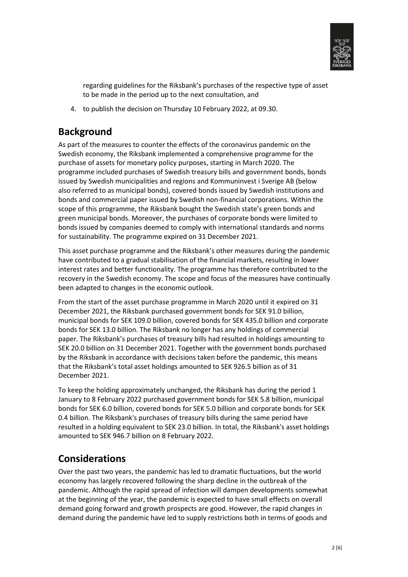

regarding guidelines for the Riksbank's purchases of the respective type of asset to be made in the period up to the next consultation, and

4. to publish the decision on Thursday 10 February 2022, at 09.30.

### **Background**

As part of the measures to counter the effects of the coronavirus pandemic on the Swedish economy, the Riksbank implemented a comprehensive programme for the purchase of assets for monetary policy purposes, starting in March 2020. The programme included purchases of Swedish treasury bills and government bonds, bonds issued by Swedish municipalities and regions and Kommuninvest i Sverige AB (below also referred to as municipal bonds), covered bonds issued by Swedish institutions and bonds and commercial paper issued by Swedish non-financial corporations. Within the scope of this programme, the Riksbank bought the Swedish state's green bonds and green municipal bonds. Moreover, the purchases of corporate bonds were limited to bonds issued by companies deemed to comply with international standards and norms for sustainability. The programme expired on 31 December 2021.

This asset purchase programme and the Riksbank's other measures during the pandemic have contributed to a gradual stabilisation of the financial markets, resulting in lower interest rates and better functionality. The programme has therefore contributed to the recovery in the Swedish economy. The scope and focus of the measures have continually been adapted to changes in the economic outlook.

From the start of the asset purchase programme in March 2020 until it expired on 31 December 2021, the Riksbank purchased government bonds for SEK 91.0 billion, municipal bonds for SEK 109.0 billion, covered bonds for SEK 435.0 billion and corporate bonds for SEK 13.0 billion. The Riksbank no longer has any holdings of commercial paper. The Riksbank's purchases of treasury bills had resulted in holdings amounting to SEK 20.0 billion on 31 December 2021. Together with the government bonds purchased by the Riksbank in accordance with decisions taken before the pandemic, this means that the Riksbank's total asset holdings amounted to SEK 926.5 billion as of 31 December 2021.

To keep the holding approximately unchanged, the Riksbank has during the period 1 January to 8 February 2022 purchased government bonds for SEK 5.8 billion, municipal bonds for SEK 6.0 billion, covered bonds for SEK 5.0 billion and corporate bonds for SEK 0.4 billion. The Riksbank's purchases of treasury bills during the same period have resulted in a holding equivalent to SEK 23.0 billion. In total, the Riksbank's asset holdings amounted to SEK 946.7 billion on 8 February 2022.

### **Considerations**

Over the past two years, the pandemic has led to dramatic fluctuations, but the world economy has largely recovered following the sharp decline in the outbreak of the pandemic. Although the rapid spread of infection will dampen developments somewhat at the beginning of the year, the pandemic is expected to have small effects on overall demand going forward and growth prospects are good. However, the rapid changes in demand during the pandemic have led to supply restrictions both in terms of goods and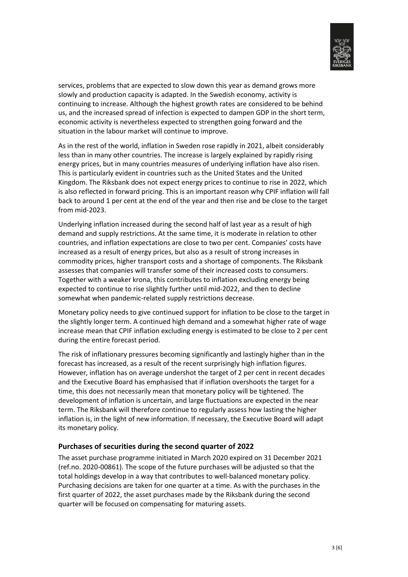

services, problems that are expected to slow down this year as demand grows more slowly and production capacity is adapted. In the Swedish economy, activity is continuing to increase. Although the highest growth rates are considered to be behind us, and the increased spread of infection is expected to dampen GDP in the short term, economic activity is nevertheless expected to strengthen going forward and the situation in the labour market will continue to improve.

As in the rest of the world, inflation in Sweden rose rapidly in 2021, albeit considerably less than in many other countries. The increase is largely explained by rapidly rising energy prices, but in many countries measures of underlying inflation have also risen. This is particularly evident in countries such as the United States and the United Kingdom. The Riksbank does not expect energy prices to continue to rise in 2022, which is also reflected in forward pricing. This is an important reason why CPIF inflation will fall back to around 1 per cent at the end of the year and then rise and be close to the target from mid-2023.

Underlying inflation increased during the second half of last year as a result of high demand and supply restrictions. At the same time, it is moderate in relation to other countries, and inflation expectations are close to two per cent. Companies' costs have increased as a result of energy prices, but also as a result of strong increases in commodity prices, higher transport costs and a shortage of components. The Riksbank assesses that companies will transfer some of their increased costs to consumers. Together with a weaker krona, this contributes to inflation excluding energy being expected to continue to rise slightly further until mid-2022, and then to decline somewhat when pandemic-related supply restrictions decrease.

Monetary policy needs to give continued support for inflation to be close to the target in the slightly longer term. A continued high demand and a somewhat higher rate of wage increase mean that CPIF inflation excluding energy is estimated to be close to 2 per cent during the entire forecast period.

The risk of inflationary pressures becoming significantly and lastingly higher than in the forecast has increased, as a result of the recent surprisingly high inflation figures. However, inflation has on average undershot the target of 2 per cent in recent decades and the Executive Board has emphasised that if inflation overshoots the target for a time, this does not necessarily mean that monetary policy will be tightened. The development of inflation is uncertain, and large fluctuations are expected in the near term. The Riksbank will therefore continue to regularly assess how lasting the higher inflation is, in the light of new information. If necessary, the Executive Board will adapt its monetary policy.

#### **Purchases of securities during the second quarter of 2022**

The asset purchase programme initiated in March 2020 expired on 31 December 2021 (ref.no. 2020-00861). The scope of the future purchases will be adjusted so that the total holdings develop in a way that contributes to well-balanced monetary policy. Purchasing decisions are taken for one quarter at a time. As with the purchases in the first quarter of 2022, the asset purchases made by the Riksbank during the second quarter will be focused on compensating for maturing assets.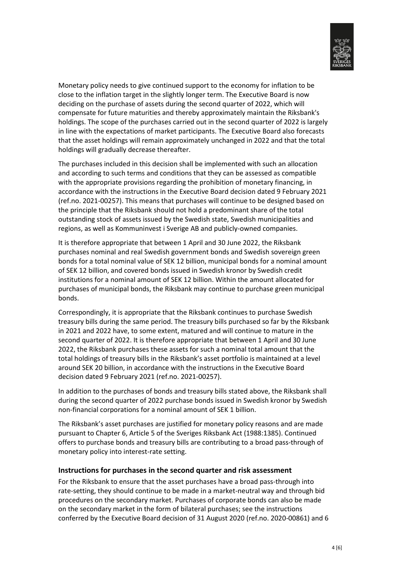

Monetary policy needs to give continued support to the economy for inflation to be close to the inflation target in the slightly longer term. The Executive Board is now deciding on the purchase of assets during the second quarter of 2022, which will compensate for future maturities and thereby approximately maintain the Riksbank's holdings. The scope of the purchases carried out in the second quarter of 2022 is largely in line with the expectations of market participants. The Executive Board also forecasts that the asset holdings will remain approximately unchanged in 2022 and that the total holdings will gradually decrease thereafter.

The purchases included in this decision shall be implemented with such an allocation and according to such terms and conditions that they can be assessed as compatible with the appropriate provisions regarding the prohibition of monetary financing, in accordance with the instructions in the Executive Board decision dated 9 February 2021 (ref.no. 2021-00257). This means that purchases will continue to be designed based on the principle that the Riksbank should not hold a predominant share of the total outstanding stock of assets issued by the Swedish state, Swedish municipalities and regions, as well as Kommuninvest i Sverige AB and publicly-owned companies.

It is therefore appropriate that between 1 April and 30 June 2022, the Riksbank purchases nominal and real Swedish government bonds and Swedish sovereign green bonds for a total nominal value of SEK 12 billion, municipal bonds for a nominal amount of SEK 12 billion, and covered bonds issued in Swedish kronor by Swedish credit institutions for a nominal amount of SEK 12 billion. Within the amount allocated for purchases of municipal bonds, the Riksbank may continue to purchase green municipal bonds.

Correspondingly, it is appropriate that the Riksbank continues to purchase Swedish treasury bills during the same period. The treasury bills purchased so far by the Riksbank in 2021 and 2022 have, to some extent, matured and will continue to mature in the second quarter of 2022. It is therefore appropriate that between 1 April and 30 June 2022, the Riksbank purchases these assets for such a nominal total amount that the total holdings of treasury bills in the Riksbank's asset portfolio is maintained at a level around SEK 20 billion, in accordance with the instructions in the Executive Board decision dated 9 February 2021 (ref.no. 2021-00257).

In addition to the purchases of bonds and treasury bills stated above, the Riksbank shall during the second quarter of 2022 purchase bonds issued in Swedish kronor by Swedish non-financial corporations for a nominal amount of SEK 1 billion.

The Riksbank's asset purchases are justified for monetary policy reasons and are made pursuant to Chapter 6, Article 5 of the Sveriges Riksbank Act (1988:1385). Continued offers to purchase bonds and treasury bills are contributing to a broad pass-through of monetary policy into interest-rate setting.

#### **Instructions for purchases in the second quarter and risk assessment**

For the Riksbank to ensure that the asset purchases have a broad pass-through into rate-setting, they should continue to be made in a market-neutral way and through bid procedures on the secondary market. Purchases of corporate bonds can also be made on the secondary market in the form of bilateral purchases; see the instructions conferred by the Executive Board decision of 31 August 2020 (ref.no. 2020-00861) and 6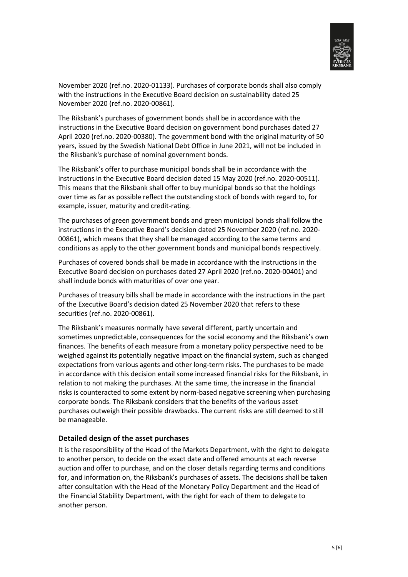

November 2020 (ref.no. 2020-01133). Purchases of corporate bonds shall also comply with the instructions in the Executive Board decision on sustainability dated 25 November 2020 (ref.no. 2020-00861).

The Riksbank's purchases of government bonds shall be in accordance with the instructions in the Executive Board decision on government bond purchases dated 27 April 2020 (ref.no. 2020-00380). The government bond with the original maturity of 50 years, issued by the Swedish National Debt Office in June 2021, will not be included in the Riksbank's purchase of nominal government bonds.

The Riksbank's offer to purchase municipal bonds shall be in accordance with the instructions in the Executive Board decision dated 15 May 2020 (ref.no. 2020-00511). This means that the Riksbank shall offer to buy municipal bonds so that the holdings over time as far as possible reflect the outstanding stock of bonds with regard to, for example, issuer, maturity and credit-rating.

The purchases of green government bonds and green municipal bonds shall follow the instructions in the Executive Board's decision dated 25 November 2020 (ref.no. 2020- 00861), which means that they shall be managed according to the same terms and conditions as apply to the other government bonds and municipal bonds respectively.

Purchases of covered bonds shall be made in accordance with the instructions in the Executive Board decision on purchases dated 27 April 2020 (ref.no. 2020-00401) and shall include bonds with maturities of over one year.

Purchases of treasury bills shall be made in accordance with the instructions in the part of the Executive Board's decision dated 25 November 2020 that refers to these securities (ref.no. 2020-00861).

The Riksbank's measures normally have several different, partly uncertain and sometimes unpredictable, consequences for the social economy and the Riksbank's own finances. The benefits of each measure from a monetary policy perspective need to be weighed against its potentially negative impact on the financial system, such as changed expectations from various agents and other long-term risks. The purchases to be made in accordance with this decision entail some increased financial risks for the Riksbank, in relation to not making the purchases. At the same time, the increase in the financial risks is counteracted to some extent by norm-based negative screening when purchasing corporate bonds. The Riksbank considers that the benefits of the various asset purchases outweigh their possible drawbacks. The current risks are still deemed to still be manageable.

#### **Detailed design of the asset purchases**

It is the responsibility of the Head of the Markets Department, with the right to delegate to another person, to decide on the exact date and offered amounts at each reverse auction and offer to purchase, and on the closer details regarding terms and conditions for, and information on, the Riksbank's purchases of assets. The decisions shall be taken after consultation with the Head of the Monetary Policy Department and the Head of the Financial Stability Department, with the right for each of them to delegate to another person.